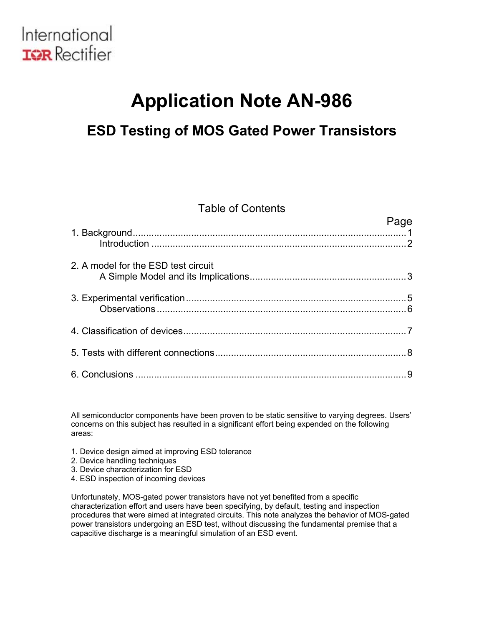

### **ESD Testing of MOS Gated Power Transistors**

### Table of Contents

|                                     | Page |
|-------------------------------------|------|
|                                     |      |
| 2. A model for the ESD test circuit |      |
|                                     |      |
|                                     |      |
|                                     |      |
|                                     |      |

All semiconductor components have been proven to be static sensitive to varying degrees. Users' concerns on this subject has resulted in a significant effort being expended on the following areas:

- 1. Device design aimed at improving ESD tolerance
- 2. Device handling techniques
- 3. Device characterization for ESD
- 4. ESD inspection of incoming devices

Unfortunately, MOS-gated power transistors have not yet benefited from a specific characterization effort and users have been specifying, by default, testing and inspection procedures that were aimed at integrated circuits. This note analyzes the behavior of MOS-gated power transistors undergoing an ESD test, without discussing the fundamental premise that a capacitive discharge is a meaningful simulation of an ESD event.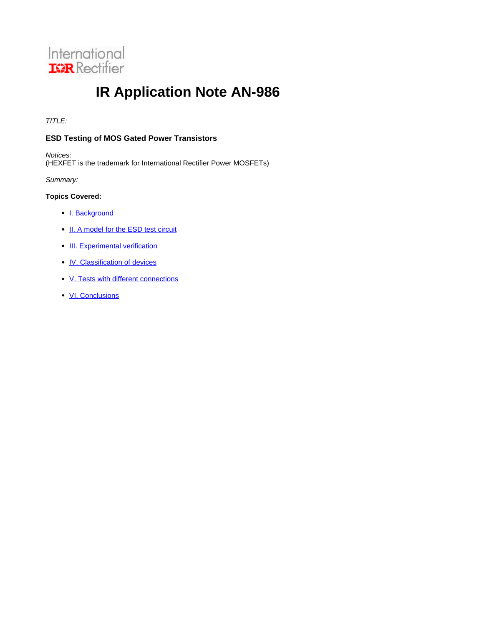<span id="page-1-0"></span>

TITLE:

### **ESD Testing of MOS Gated Power Transistors**

Notices: (HEXFET is the trademark for International Rectifier Power MOSFETs)

Summary:

### **Topics Covered:**

- I. Background
- II. A model for the ESD test circuit
- III. Experimental verification
- **IV. Classification of devices**
- V. Tests with different connections
- VI. Conclusions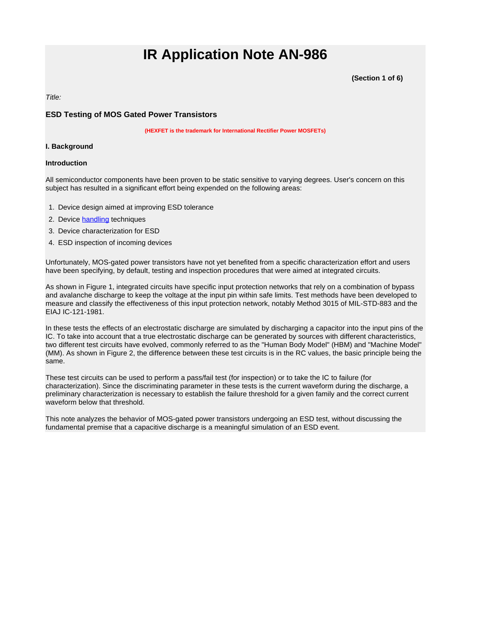**(Section 1 of 6)**

<span id="page-2-0"></span>Title:

### **ESD Testing of MOS Gated Power Transistors**

**(HEXFET is the trademark for International Rectifier Power MOSFETs)**

### **I. Background**

#### **Introduction**

All semiconductor components have been proven to be static sensitive to varying degrees. User's concern on this subject has resulted in a significant effort being expended on the following areas:

- 1. Device design aimed at improving ESD tolerance
- 2. Device handling techniques
- 3. Device characterization for ESD
- 4. ESD inspection of incoming devices

Unfortunately, MOS-gated power transistors have not yet benefited from a specific characterization effort and users have been specifying, by default, testing and inspection procedures that were aimed at integrated circuits.

As shown in Figure 1, integrated circuits have specific input protection networks that rely on a combination of bypass and avalanche discharge to keep the voltage at the input pin within safe limits. Test methods have been developed to measure and classify the effectiveness of this input protection network, notably Method 3015 of MIL-STD-883 and the EIAJ IC-121-1981.

In these tests the effects of an electrostatic discharge are simulated by discharging a capacitor into the input pins of the IC. To take into account that a true electrostatic discharge can be generated by sources with different characteristics, two different test circuits have evolved, commonly referred to as the "Human Body Model" (HBM) and "Machine Model" (MM). As shown in Figure 2, the difference between these test circuits is in the RC values, the basic principle being the same.

These test circuits can be used to perform a pass/fail test (for inspection) or to take the IC to failure (for characterization). Since the discriminating parameter in these tests is the current waveform during the discharge, a preliminary characterization is necessary to establish the failure threshold for a given family and the correct current waveform below that threshold.

This note analyzes the behavior of MOS-gated power transistors undergoing an ESD test, without discussing the fundamental premise that a capacitive discharge is a meaningful simulation of an ESD event.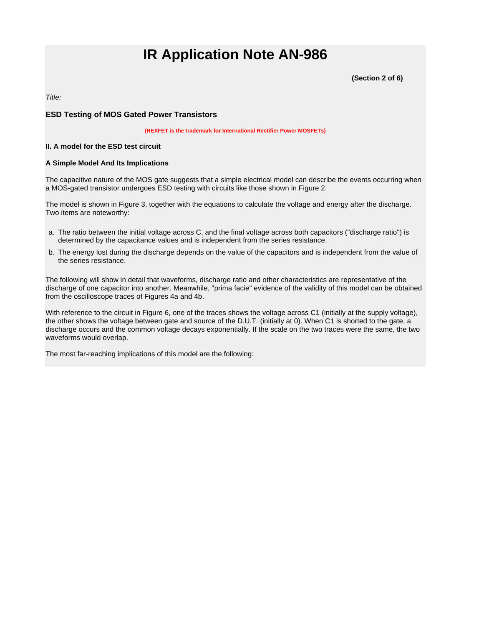**(Section 2 of 6)**

<span id="page-3-0"></span>Title:

### **ESD Testing of MOS Gated Power Transistors**

**(HEXFET is the trademark for International Rectifier Power MOSFETs)**

#### **II. A model for the ESD test circuit**

#### **A Simple Model And Its Implications**

The capacitive nature of the MOS gate suggests that a simple electrical model can describe the events occurring when a MOS-gated transistor undergoes ESD testing with circuits like those shown in Figure 2.

The model is shown in Figure 3, together with the equations to calculate the voltage and energy after the discharge. Two items are noteworthy:

- a. The ratio between the initial voltage across C, and the final voltage across both capacitors ("discharge ratio") is determined by the capacitance values and is independent from the series resistance.
- b. The energy lost during the discharge depends on the value of the capacitors and is independent from the value of the series resistance.

The following will show in detail that waveforms, discharge ratio and other characteristics are representative of the discharge of one capacitor into another. Meanwhile, "prima facie" evidence of the validity of this model can be obtained from the oscilloscope traces of Figures 4a and 4b.

With reference to the circuit in Figure 6, one of the traces shows the voltage across C1 (initially at the supply voltage), the other shows the voltage between gate and source of the D.U.T. (initially at 0). When C1 is shorted to the gate, a discharge occurs and the common voltage decays exponentially. If the scale on the two traces were the same, the two waveforms would overlap.

The most far-reaching implications of this model are the following: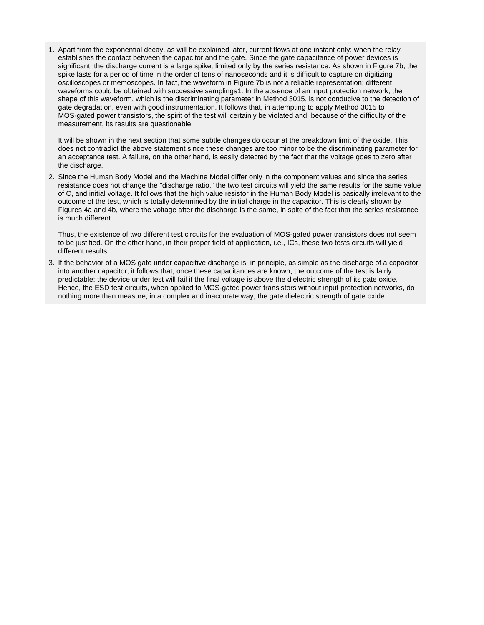1. Apart from the exponential decay, as will be explained later, current flows at one instant only: when the relay establishes the contact between the capacitor and the gate. Since the gate capacitance of power devices is significant, the discharge current is a large spike, limited only by the series resistance. As shown in Figure 7b, the spike lasts for a period of time in the order of tens of nanoseconds and it is difficult to capture on digitizing oscilloscopes or memoscopes. In fact, the waveform in Figure 7b is not a reliable representation; different waveforms could be obtained with successive samplings1. In the absence of an input protection network, the shape of this waveform, which is the discriminating parameter in Method 3015, is not conducive to the detection of gate degradation, even with good instrumentation. It follows that, in attempting to apply Method 3015 to MOS-gated power transistors, the spirit of the test will certainly be violated and, because of the difficulty of the measurement, its results are questionable.

It will be shown in the next section that some subtle changes do occur at the breakdown limit of the oxide. This does not contradict the above statement since these changes are too minor to be the discriminating parameter for an acceptance test. A failure, on the other hand, is easily detected by the fact that the voltage goes to zero after the discharge.

2. Since the Human Body Model and the Machine Model differ only in the component values and since the series resistance does not change the "discharge ratio," the two test circuits will yield the same results for the same value of C, and initial voltage. It follows that the high value resistor in the Human Body Model is basically irrelevant to the outcome of the test, which is totally determined by the initial charge in the capacitor. This is clearly shown by Figures 4a and 4b, where the voltage after the discharge is the same, in spite of the fact that the series resistance is much different.

Thus, the existence of two different test circuits for the evaluation of MOS-gated power transistors does not seem to be justified. On the other hand, in their proper field of application, i.e., ICs, these two tests circuits will yield different results.

3. If the behavior of a MOS gate under capacitive discharge is, in principle, as simple as the discharge of a capacitor into another capacitor, it follows that, once these capacitances are known, the outcome of the test is fairly predictable: the device under test will fail if the final voltage is above the dielectric strength of its gate oxide. Hence, the ESD test circuits, when applied to MOS-gated power transistors without input protection networks, do nothing more than measure, in a complex and inaccurate way, the gate dielectric strength of gate oxide.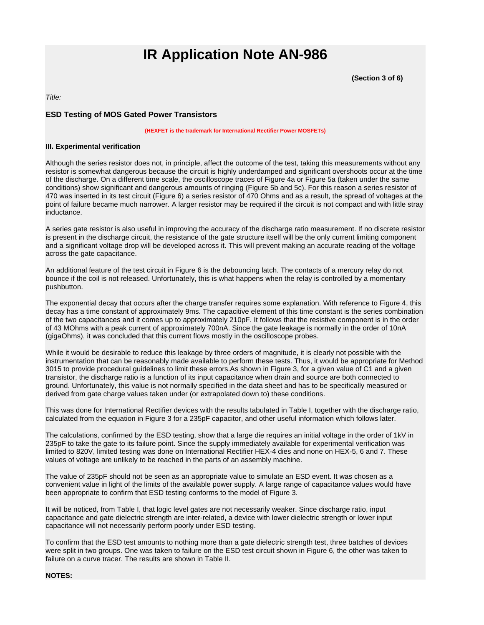**(Section 3 of 6)**

<span id="page-5-0"></span>Title:

### **ESD Testing of MOS Gated Power Transistors**

**(HEXFET is the trademark for International Rectifier Power MOSFETs)**

#### **III. Experimental verification**

Although the series resistor does not, in principle, affect the outcome of the test, taking this measurements without any resistor is somewhat dangerous because the circuit is highly underdamped and significant overshoots occur at the time of the discharge. On a different time scale, the oscilloscope traces of Figure 4a or Figure 5a (taken under the same conditions) show significant and dangerous amounts of ringing (Figure 5b and 5c). For this reason a series resistor of 470 was inserted in its test circuit (Figure 6) a series resistor of 470 Ohms and as a result, the spread of voltages at the point of failure became much narrower. A larger resistor may be required if the circuit is not compact and with little stray inductance.

A series gate resistor is also useful in improving the accuracy of the discharge ratio measurement. If no discrete resistor is present in the discharge circuit, the resistance of the gate structure itself will be the only current limiting component and a significant voltage drop will be developed across it. This will prevent making an accurate reading of the voltage across the gate capacitance.

An additional feature of the test circuit in Figure 6 is the debouncing latch. The contacts of a mercury relay do not bounce if the coil is not released. Unfortunately, this is what happens when the relay is controlled by a momentary pushbutton.

The exponential decay that occurs after the charge transfer requires some explanation. With reference to Figure 4, this decay has a time constant of approximately 9ms. The capacitive element of this time constant is the series combination of the two capacitances and it comes up to approximately 210pF. It follows that the resistive component is in the order of 43 MOhms with a peak current of approximately 700nA. Since the gate leakage is normally in the order of 10nA (gigaOhms), it was concluded that this current flows mostly in the oscilloscope probes.

While it would be desirable to reduce this leakage by three orders of magnitude, it is clearly not possible with the instrumentation that can be reasonably made available to perform these tests. Thus, it would be appropriate for Method 3015 to provide procedural guidelines to limit these errors.As shown in Figure 3, for a given value of C1 and a given transistor, the discharge ratio is a function of its input capacitance when drain and source are both connected to ground. Unfortunately, this value is not normally specified in the data sheet and has to be specifically measured or derived from gate charge values taken under (or extrapolated down to) these conditions.

This was done for International Rectifier devices with the results tabulated in Table I, together with the discharge ratio, calculated from the equation in Figure 3 for a 235pF capacitor, and other useful information which follows later.

The calculations, confirmed by the ESD testing, show that a large die requires an initial voltage in the order of 1kV in 235pF to take the gate to its failure point. Since the supply immediately available for experimental verification was limited to 820V, limited testing was done on International Rectifier HEX-4 dies and none on HEX-5, 6 and 7. These values of voltage are unlikely to be reached in the parts of an assembly machine.

The value of 235pF should not be seen as an appropriate value to simulate an ESD event. It was chosen as a convenient value in light of the limits of the available power supply. A large range of capacitance values would have been appropriate to confirm that ESD testing conforms to the model of Figure 3.

It will be noticed, from Table I, that logic level gates are not necessarily weaker. Since discharge ratio, input capacitance and gate dielectric strength are inter-related, a device with lower dielectric strength or lower input capacitance will not necessarily perform poorly under ESD testing.

To confirm that the ESD test amounts to nothing more than a gate dielectric strength test, three batches of devices were split in two groups. One was taken to failure on the ESD test circuit shown in Figure 6, the other was taken to failure on a curve tracer. The results are shown in Table II.

### **NOTES:**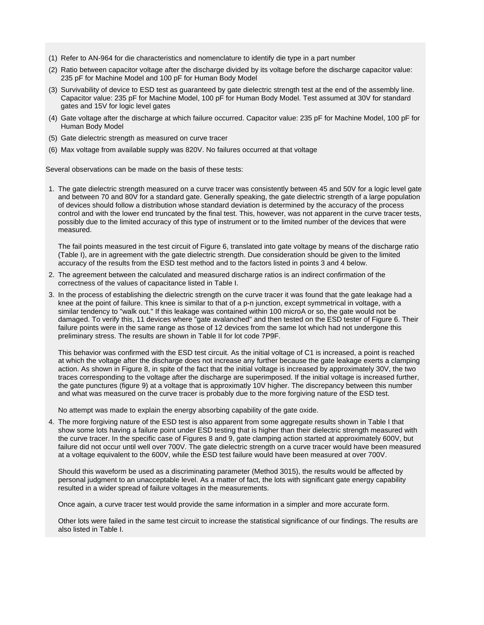- <span id="page-6-0"></span>(1) Refer to AN-964 for die characteristics and nomenclature to identify die type in a part number
- (2) Ratio between capacitor voltage after the discharge divided by its voltage before the discharge capacitor value: 235 pF for Machine Model and 100 pF for Human Body Model
- (3) Survivability of device to ESD test as guaranteed by gate dielectric strength test at the end of the assembly line. Capacitor value: 235 pF for Machine Model, 100 pF for Human Body Model. Test assumed at 30V for standard gates and 15V for logic level gates
- (4) Gate voltage after the discharge at which failure occurred. Capacitor value: 235 pF for Machine Model, 100 pF for Human Body Model
- (5) Gate dielectric strength as measured on curve tracer
- (6) Max voltage from available supply was 820V. No failures occurred at that voltage

Several observations can be made on the basis of these tests:

1. The gate dielectric strength measured on a curve tracer was consistently between 45 and 50V for a logic level gate and between 70 and 80V for a standard gate. Generally speaking, the gate dielectric strength of a large population of devices should follow a distribution whose standard deviation is determined by the accuracy of the process control and with the lower end truncated by the final test. This, however, was not apparent in the curve tracer tests, possibly due to the limited accuracy of this type of instrument or to the limited number of the devices that were measured.

The fail points measured in the test circuit of Figure 6, translated into gate voltage by means of the discharge ratio (Table I), are in agreement with the gate dielectric strength. Due consideration should be given to the limited accuracy of the results from the ESD test method and to the factors listed in points 3 and 4 below.

- 2. The agreement between the calculated and measured discharge ratios is an indirect confirmation of the correctness of the values of capacitance listed in Table I.
- 3. In the process of establishing the dielectric strength on the curve tracer it was found that the gate leakage had a knee at the point of failure. This knee is similar to that of a p-n junction, except symmetrical in voltage, with a similar tendency to "walk out." If this leakage was contained within 100 microA or so, the gate would not be damaged. To verify this, 11 devices where "gate avalanched" and then tested on the ESD tester of Figure 6. Their failure points were in the same range as those of 12 devices from the same lot which had not undergone this preliminary stress. The results are shown in Table II for lot code 7P9F.

This behavior was confirmed with the ESD test circuit. As the initial voltage of C1 is increased, a point is reached at which the voltage after the discharge does not increase any further because the gate leakage exerts a clamping action. As shown in Figure 8, in spite of the fact that the initial voltage is increased by approximately 30V, the two traces corresponding to the voltage after the discharge are superimposed. If the initial voltage is increased further, the gate punctures (figure 9) at a voltage that is approximatly 10V higher. The discrepancy between this number and what was measured on the curve tracer is probably due to the more forgiving nature of the ESD test.

No attempt was made to explain the energy absorbing capability of the gate oxide.

4. The more forgiving nature of the ESD test is also apparent from some aggregate results shown in Table I that show some lots having a failure point under ESD testing that is higher than their dielectric strength measured with the curve tracer. In the specific case of Figures 8 and 9, gate clamping action started at approximately 600V, but failure did not occur until well over 700V. The gate dielectric strength on a curve tracer would have been measured at a voltage equivalent to the 600V, while the ESD test failure would have been measured at over 700V.

Should this waveform be used as a discriminating parameter (Method 3015), the results would be affected by personal judgment to an unacceptable level. As a matter of fact, the lots with significant gate energy capability resulted in a wider spread of failure voltages in the measurements.

Once again, a curve tracer test would provide the same information in a simpler and more accurate form.

Other lots were failed in the same test circuit to increase the statistical significance of our findings. The results are also listed in Table I.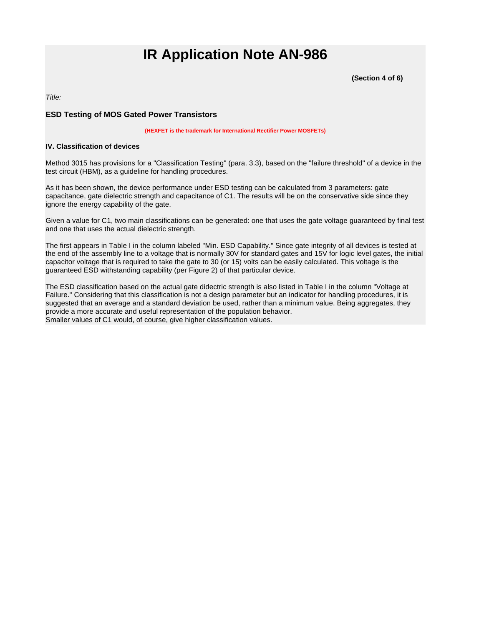**(Section 4 of 6)**

<span id="page-7-0"></span>Title:

### **ESD Testing of MOS Gated Power Transistors**

**(HEXFET is the trademark for International Rectifier Power MOSFETs)**

#### **IV. Classification of devices**

Method 3015 has provisions for a "Classification Testing" (para. 3.3), based on the "failure threshold" of a device in the test circuit (HBM), as a guideline for handling procedures.

As it has been shown, the device performance under ESD testing can be calculated from 3 parameters: gate capacitance, gate dielectric strength and capacitance of C1. The results will be on the conservative side since they ignore the energy capability of the gate.

Given a value for C1, two main classifications can be generated: one that uses the gate voltage guaranteed by final test and one that uses the actual dielectric strength.

The first appears in Table I in the column labeled "Min. ESD Capability." Since gate integrity of all devices is tested at the end of the assembly line to a voltage that is normally 30V for standard gates and 15V for logic level gates, the initial capacitor voltage that is required to take the gate to 30 (or 15) volts can be easily calculated. This voltage is the guaranteed ESD withstanding capability (per Figure 2) of that particular device.

The ESD classification based on the actual gate didectric strength is also listed in Table I in the column "Voltage at Failure." Considering that this classification is not a design parameter but an indicator for handling procedures, it is suggested that an average and a standard deviation be used, rather than a minimum value. Being aggregates, they provide a more accurate and useful representation of the population behavior. Smaller values of C1 would, of course, give higher classification values.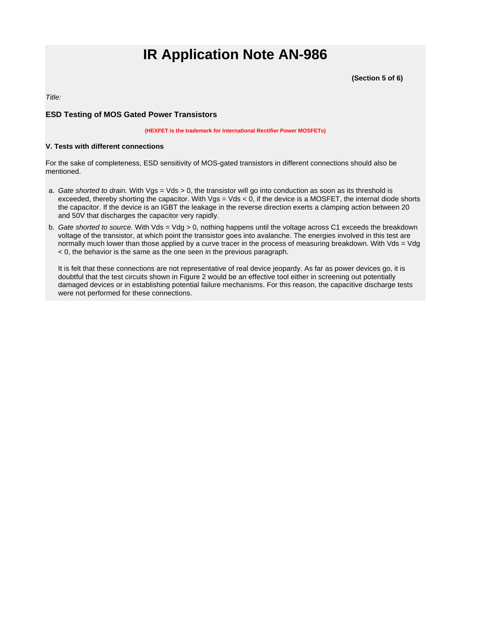**(Section 5 of 6)**

<span id="page-8-0"></span>Title:

### **ESD Testing of MOS Gated Power Transistors**

**(HEXFET is the trademark for International Rectifier Power MOSFETs)**

#### **V. Tests with different connections**

For the sake of completeness, ESD sensitivity of MOS-gated transistors in different connections should also be mentioned.

- a. Gate shorted to drain. With Vgs = Vds > 0, the transistor will go into conduction as soon as its threshold is exceeded, thereby shorting the capacitor. With  $Vgs = Vds < 0$ , if the device is a MOSFET, the internal diode shorts the capacitor. If the device is an IGBT the leakage in the reverse direction exerts a clamping action between 20 and 50V that discharges the capacitor very rapidly.
- b. Gate shorted to source. With Vds = Vdg > 0, nothing happens until the voltage across C1 exceeds the breakdown voltage of the transistor, at which point the transistor goes into avalanche. The energies involved in this test are normally much lower than those applied by a curve tracer in the process of measuring breakdown. With Vds = Vdg < 0, the behavior is the same as the one seen in the previous paragraph.

It is felt that these connections are not representative of real device jeopardy. As far as power devices go, it is doubtful that the test circuits shown in Figure 2 would be an effective tool either in screening out potentially damaged devices or in establishing potential failure mechanisms. For this reason, the capacitive discharge tests were not performed for these connections.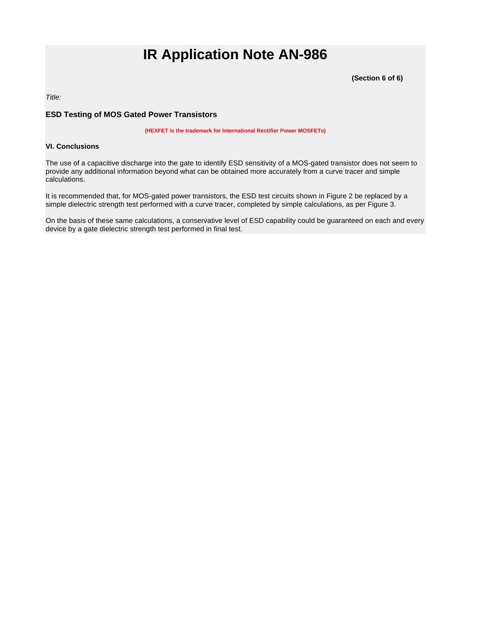**(Section 6 of 6)**

<span id="page-9-0"></span>Title:

### **ESD Testing of MOS Gated Power Transistors**

**(HEXFET is the trademark for International Rectifier Power MOSFETs)**

#### **VI. Conclusions**

The use of a capacitive discharge into the gate to identify ESD sensitivity of a MOS-gated transistor does not seem to provide any additional information beyond what can be obtained more accurately from a curve tracer and simple calculations.

It is recommended that, for MOS-gated power transistors, the ESD test circuits shown in Figure 2 be replaced by a simple dielectric strength test performed with a curve tracer, completed by simple calculations, as per Figure 3.

On the basis of these same calculations, a conservative level of ESD capability could be guaranteed on each and every device by a gate dielectric strength test performed in final test.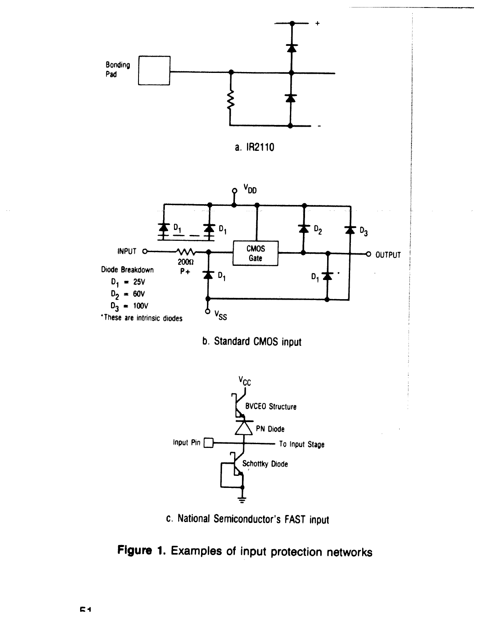









c. National Semiconductor's FAST input

Figure 1. Examples of input protection networks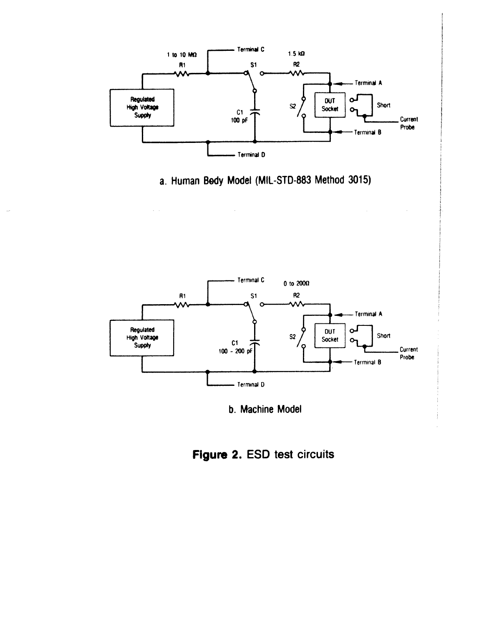

a. Human Body Model (MIL-STD-883 Method 3015)

 $\mathcal{A}^{\mathcal{A}}(\mathcal{A})$ 



b. Machine Model

Figure 2. ESD test circuits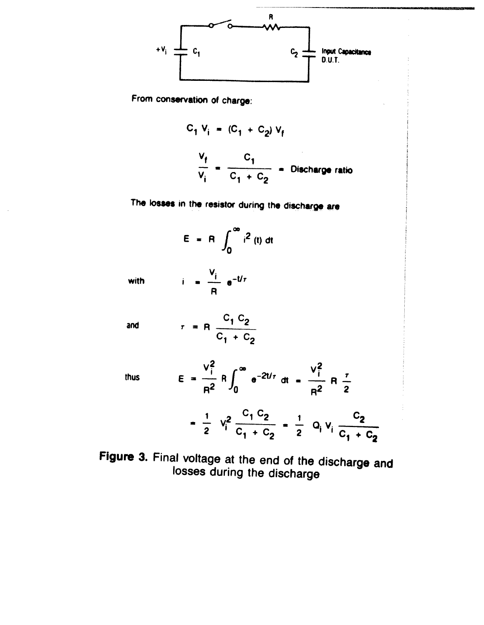

From conservation of charge:

$$
C_1 V_i = (C_1 + C_2) V_f
$$
  

$$
\frac{V_f}{V_i} = \frac{C_1}{C_1 + C_2} = \text{Discharge ratio}
$$

The losses in the resistor during the discharge are

$$
E = R \int_0^\infty i^2(t) dt
$$

with

$$
= \frac{V_i}{R} e^{-t/\tau}
$$

 $\mathbf{i}$ 

and

$$
r = R \frac{C_1 C_2}{C_1 + C_2}
$$

thus

$$
E = \frac{V_1^2}{R^2} R \int_0^{\infty} e^{-2t/\tau} dt = \frac{V_1^2}{R^2} R \frac{\tau}{2}
$$
  
=  $\frac{1}{2} V_1^2 \frac{C_1 C_2}{C_1 + C_2} = \frac{1}{2} Q_1 V_1 \frac{C_2}{C_1 + C_2}$ 

Figure 3. Final voltage at the end of the discharge and losses during the discharge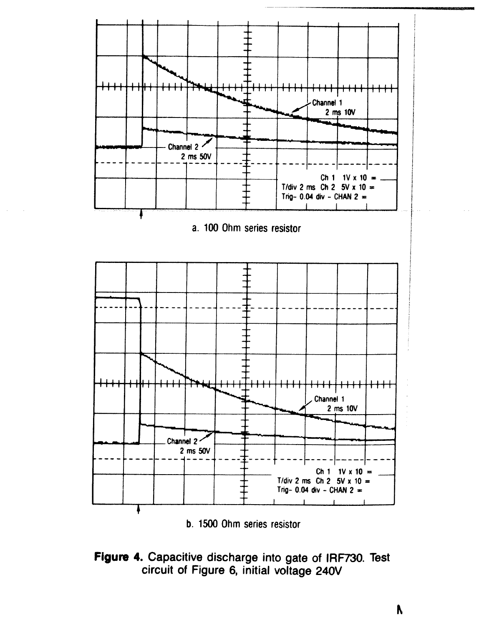

b. 1500 Ohm series resistor



N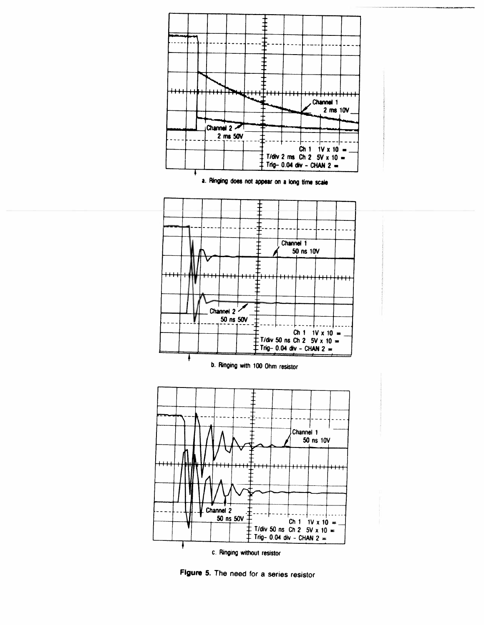

Figure 5. The need for a series resistor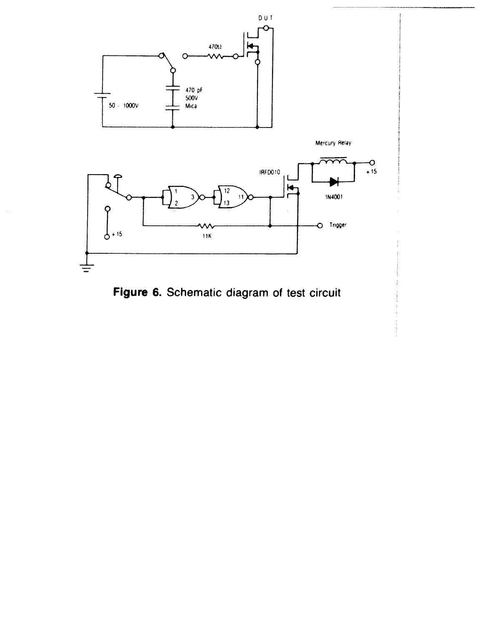

Figure 6. Schematic diagram of test circuit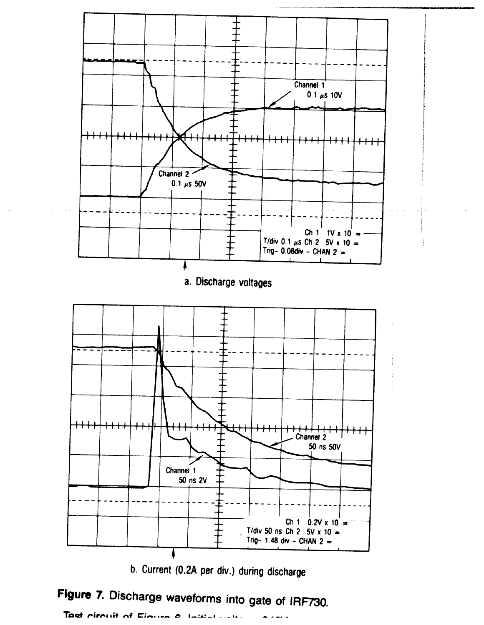

b. Current (0.2A per div.) during discharge

Figure 7. Discharge waveforms into gate of IRF730.

Test circuit of Eigens e  $\label{eq:3} \textbf{Im}\left\{\textbf{a}, \textbf{b}, \textbf{c}, \textbf{c}, \textbf{c}, \textbf{c}, \textbf{c}, \textbf{c}, \textbf{c}, \textbf{c}, \textbf{c}, \textbf{c}, \textbf{c}, \textbf{c}, \textbf{c}, \textbf{c}, \textbf{c}, \textbf{c}, \textbf{c}, \textbf{c}, \textbf{c}, \textbf{c}, \textbf{c}, \textbf{c}, \textbf{c}, \textbf{c}, \textbf{c}, \textbf{c}, \textbf{c}, \textbf{c}, \textbf{c}, \textbf{c}, \textbf{c}, \textbf{c}, \$ بتخبية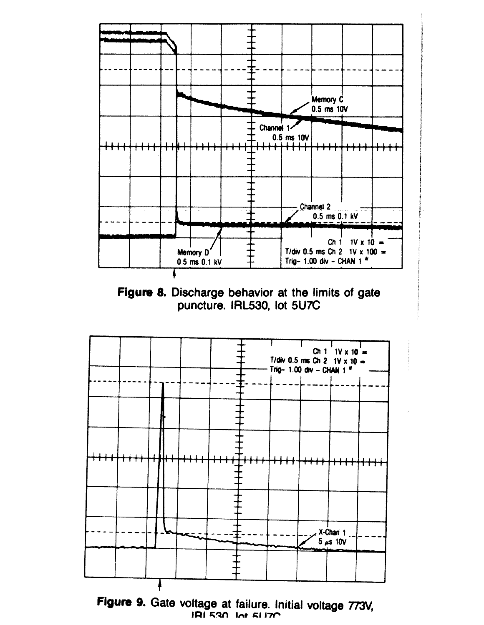





Figure 9. Gate voltage at failure. Initial voltage 773V, IRI 530 Int 51170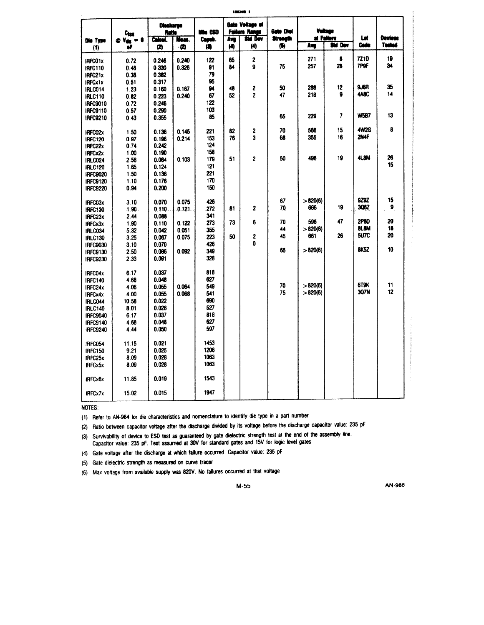| Die Type                    | $c_{\text{test}}$<br>$V_{\rm eff}=0$<br>Ø | <b>Diecharge</b><br><b>Retio</b><br>Calcul. | Meac.          | nna ESD<br>Capub. | Ave | Gate Voltage at<br><b>Fallure Range</b><br><b>SM Dev</b> | Gate Diel<br>Strength |          | Veltage<br>at Fallero | Let          | Devlees  |
|-----------------------------|-------------------------------------------|---------------------------------------------|----------------|-------------------|-----|----------------------------------------------------------|-----------------------|----------|-----------------------|--------------|----------|
| (1)                         | uF                                        | Ø                                           | -12)           | 傳                 | (4) | (4)                                                      | 働                     | Ave      | Std Dev               | Code         | Tectod   |
|                             |                                           |                                             |                |                   |     |                                                          |                       |          |                       |              |          |
| IRFC01x                     | 0.72                                      | 0.246                                       | 0.240          | 122               | 65  | 2                                                        |                       | 271      | 8<br>28               | 7210<br>7P9F | 19<br>34 |
| <b>IRFC110</b>              | 0.48                                      | 0.330                                       | 0.326          | 91                | 84  | g                                                        | 75                    | 257      |                       |              |          |
| IRFC21x                     | 0.36                                      | 0.382                                       |                | 79                |     |                                                          |                       |          |                       |              |          |
| <b>IRFCx1x</b>              | 0.51                                      | 0.317                                       |                | 95                |     |                                                          | 50                    | 288      | 12                    | 9J6R         | 35       |
| IRLCO14                     | 1.23                                      | 0.160                                       | 0.167          | 94                | 48  | 2<br>$\overline{2}$                                      | 47                    | 218      | 9                     | 4ABC         | 14       |
| <b>IRLC110</b>              | 0.82                                      | 0.223                                       | 0.240          | 67                | 52  |                                                          |                       |          |                       |              |          |
| <b>IRFC9010</b>             | 0.72                                      | 0.246                                       |                | 122<br>103        |     |                                                          |                       |          |                       |              |          |
| IRFC9110                    | 0.57                                      | 0.290                                       |                | 85                |     |                                                          | 65                    | 229      | 7                     | <b>W587</b>  | 13       |
| IRFC9210                    | 0.43                                      | 0.355                                       |                |                   |     |                                                          |                       |          |                       |              |          |
|                             | 1.50                                      | 0.136                                       | 0.145          | 221               | 82  | 2                                                        | 70                    | 566      | 15                    | <b>4W2G</b>  | 8        |
| IRFC02x<br><b>IRFC120</b>   | 0.97                                      | 0.196                                       | 0.214          | 153               | 76  | 3                                                        | 68                    | 355      | 16                    | 2N4F         |          |
| IRFC22x                     | 0.74                                      | 0.242                                       |                | 124               |     |                                                          |                       |          |                       |              |          |
| IRFCx2x                     | 1.00                                      | 0.190                                       |                | 156               |     |                                                          |                       |          |                       |              |          |
| <b>IRLC024</b>              | 2.56                                      | 0.064                                       | 0 103          | 179               | 51  | $\overline{2}$                                           | 50                    | 496      | 19                    | 4L8M         | 26       |
| <b>IRLC120</b>              | 1.65                                      | 0.124                                       |                | 121               |     |                                                          |                       |          |                       |              | 15       |
| IRFC9020                    | 1.50                                      | 0.136                                       |                | 221               |     |                                                          |                       |          |                       |              |          |
| <b>IRFC9120</b>             | 1.10                                      | 0.176                                       |                | 170               |     |                                                          |                       |          |                       |              |          |
| <b>IRFC9220</b>             | 0.94                                      | 0.200                                       |                | 150               |     |                                                          |                       |          |                       |              |          |
|                             |                                           |                                             |                |                   |     |                                                          |                       |          |                       |              |          |
| IRFC03x                     | 3.10                                      | 0.070                                       | 0.075          | 426               |     |                                                          | 67                    | > 820(6) |                       | 929Z         | 15       |
| IREC130                     | 1.90                                      | 0.110                                       | 0.121          | 272               | 81  | 2                                                        | 70                    | 666      | 19                    | 306Z         | 9        |
| IRFC23x                     | 2.44                                      | 0.088                                       |                | 341               |     |                                                          |                       |          |                       |              |          |
| <b>IRFCx3x</b>              | 1.90                                      | 0.110                                       | 0.122          | 273               | 73  | 6                                                        | 70                    | 596      | 47                    | 2P8D         | 20       |
| IRLC034                     | 5.32                                      | 0.042                                       | 0.051          | 355               |     |                                                          | 44                    | >820(6)  |                       | <b>BLBM</b>  | 18       |
| <b>IRLC130</b>              | 3.25                                      | 0.067                                       | 0.075          | 223               | 50  | 2                                                        | 45                    | 661      | 26                    | <b>5U7C</b>  | 20       |
| <b>IRFC9030</b>             | 3.10                                      | 0.070                                       |                | 426               |     | 0                                                        |                       |          |                       |              |          |
| <b>IRFC9130</b>             | 2.50                                      | 0.006                                       | 0.092          | 349               |     |                                                          | 65                    | >820(6)  |                       | <b>BK5Z</b>  | 10       |
| <b>IRFC9230</b>             | 2.33                                      | 0.091                                       |                | 328               |     |                                                          |                       |          |                       |              |          |
|                             |                                           |                                             |                |                   |     |                                                          |                       |          |                       |              |          |
| IRFC04x                     | 6.17                                      | 0.037                                       |                | 818               |     |                                                          |                       |          |                       |              |          |
| <b>IRFC140</b>              | 4.68                                      | 0.048                                       |                | 627               |     |                                                          | 70                    | >820(6)  |                       | 6T9K         | 11       |
| IRFC24x                     | 4.06                                      | 0.055                                       | 0.064<br>0.068 | 549<br>541        |     |                                                          | 75                    | >820(6)  |                       | 307N         | 12       |
| IRFCx4x                     | 4.00                                      | 0.055<br>0.022                              |                | 690               |     |                                                          |                       |          |                       |              |          |
| IRLC044                     | 10.58                                     | 0.028                                       |                | 527               |     |                                                          |                       |          |                       |              |          |
| <b>IRLC140</b>              | 801<br>6.17                               | 0.037                                       |                | 818               |     |                                                          |                       |          |                       |              |          |
| IRFC9040<br><b>IRFC9140</b> | 4.68                                      | 0.048                                       |                | 627               |     |                                                          |                       |          |                       |              |          |
| <b>IRFC9240</b>             | 4.44                                      | 0.050                                       |                | 597               |     |                                                          |                       |          |                       |              |          |
|                             |                                           |                                             |                |                   |     |                                                          |                       |          |                       |              |          |
| IRFC054                     | 11.15                                     | 0.021                                       |                | 1453              |     |                                                          |                       |          |                       |              |          |
| <b>IRFC150</b>              | 9.21                                      | 0.025                                       |                | 1206              |     |                                                          |                       |          |                       |              |          |
| IRFC25x                     | 8.09                                      | 0.028                                       |                | 1063              |     |                                                          |                       |          |                       |              |          |
| <b>IRFCx5x</b>              | 8.09                                      | 0.028                                       |                | 1063              |     |                                                          |                       |          |                       |              |          |
|                             |                                           |                                             |                |                   |     |                                                          |                       |          |                       |              |          |
| <b>IRFCx6x</b>              | 11.85                                     | 0.019                                       |                | 1543              |     |                                                          |                       |          |                       |              |          |
|                             |                                           |                                             |                |                   |     |                                                          |                       |          |                       |              |          |
| <b>IRFCx7x</b>              | 15.02                                     | 0.015                                       |                | 1947              |     |                                                          |                       |          |                       |              |          |

NOTES:

(1) Refer to AN-964 for die characteristics and nomenclature to identify die type in a part number

(2) Ratio between capacitor voltage after the discharge divided by its voltage before the discharge capacitor value: 235 pF

(3) Survivability of device to ESD test as guaranteed by gate dielectric strength test at the end of the assembly line. Capacitor value: 235 pF. Test assumed at 30V for standard gates and 15V for logic level gates

(4) Gate voltage after the discharge at which failure occurred. Capacitor value: 235 pF

(5) Gate dielectric strength as measured on curve tracer

(6) Max voltage from available supply was 820V. No failures occurred at that voltage

 $M-55$ 

AN-986